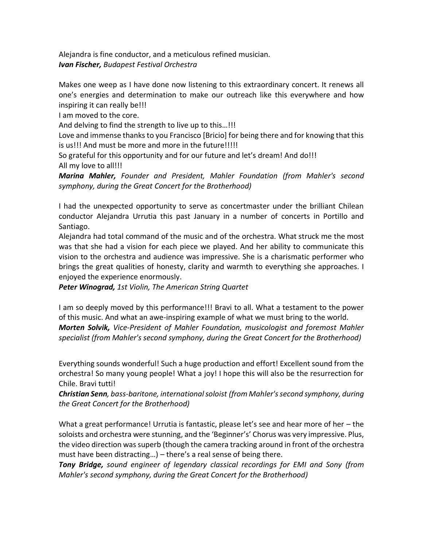Alejandra is fine conductor, and a meticulous refined musician. *Ivan Fischer, Budapest Festival Orchestra*

Makes one weep as I have done now listening to this extraordinary concert. It renews all one's energies and determination to make our outreach like this everywhere and how inspiring it can really be!!!

I am moved to the core.

And delving to find the strength to live up to this…!!!

Love and immense thanks to you Francisco [Bricio] for being there and for knowing that this is us!!! And must be more and more in the future!!!!!

So grateful for this opportunity and for our future and let's dream! And do!!! All my love to all!!!

*Marina Mahler, Founder and President, Mahler Foundation (from Mahler's second symphony, during the Great Concert for the Brotherhood)*

I had the unexpected opportunity to serve as concertmaster under the brilliant Chilean conductor Alejandra Urrutia this past January in a number of concerts in Portillo and Santiago.

Alejandra had total command of the music and of the orchestra. What struck me the most was that she had a vision for each piece we played. And her ability to communicate this vision to the orchestra and audience was impressive. She is a charismatic performer who brings the great qualities of honesty, clarity and warmth to everything she approaches. I enjoyed the experience enormously.

*Peter Winograd, 1st Violin, The American String Quartet*

I am so deeply moved by this performance!!! Bravi to all. What a testament to the power of this music. And what an awe-inspiring example of what we must bring to the world. *Morten Solvik, Vice-President of Mahler Foundation, musicologist and foremost Mahler specialist (from Mahler's second symphony, during the Great Concert for the Brotherhood)*

Everything sounds wonderful! Such a huge production and effort! Excellent sound from the orchestra! So many young people! What a joy! I hope this will also be the resurrection for Chile. Bravi tutti!

*Christian Senn, bass-baritone, international soloist (from Mahler's second symphony, during the Great Concert for the Brotherhood)*

What a great performance! Urrutia is fantastic, please let's see and hear more of her – the soloists and orchestra were stunning, and the 'Beginner's' Chorus was very impressive. Plus, the video direction was superb (though the camera tracking around in front of the orchestra must have been distracting…) – there's a real sense of being there.

*Tony Bridge, sound engineer of legendary classical recordings for EMI and Sony (from Mahler's second symphony, during the Great Concert for the Brotherhood)*